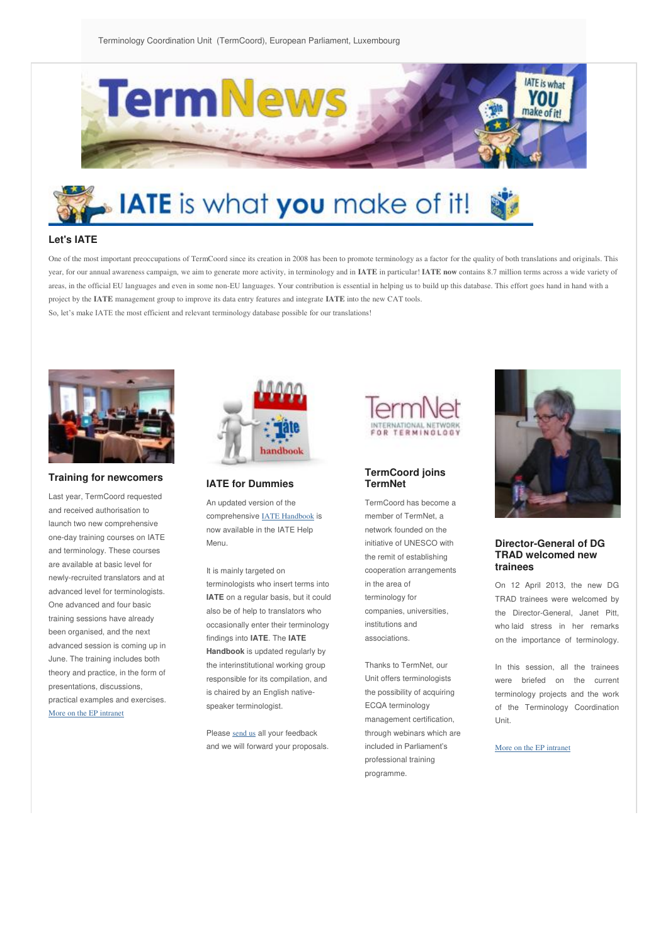

# **IATE** is what you make of it!

## **Let's IATE**

One of the most important preoccupations of TermCoord since its creation in 2008 has been to promote terminology as a factor for the quality of both translations and originals. This year, for our annual awareness campaign, we aim to generate more activity, in terminology and in **IATE** in particular! **IATE now** contains 8.7 million terms across a wide variety of areas, in the official EU languages and even in some non-EU languages. Your contribution is essential in helping us to build up this database. This effort goes hand in hand with a project by the **IATE** management group to improve its data entry features and integrate **IATE** into the new CAT tools. So, let's make IATE the most efficient and relevant terminology database possible for our translations!



## **Training for newcomers**

Last year, TermCoord requested and received authorisation to launch two new comprehensive one-day training courses on IATE and terminology. These courses are available at basic level for newly-recruited translators and at advanced level for terminologists. One advanced and four basic training sessions have already been organised, and the next advanced session is coming up in June. The training includes both theory and practice, in the form of presentations, discussions, practical examples and exercises. [More on the EP intranet](http://tradportal.ep.parl.union.eu/terminology/?p=8530)



**IATE for Dummies** 

An updated version of the comprehensive [IATE Handbook](http://tradportal.ep.parl.union.eu/terminology/?p=8566) is now available in the IATE Help Menu.

It is mainly targeted on terminologists who insert terms into **IATE** on a regular basis, but it could also be of help to translators who occasionally enter their terminology findings into **IATE**. The **IATE Handbook** is updated regularly by the interinstitutional working group responsible for its compilation, and is chaired by an English nativespeaker terminologist.

Please [send us](mailto:dgtrad.iate@europarl.europa.eu) all your feedback and we will forward your proposals.



#### **TermCoord joins TermNet**

TermCoord has become a member of TermNet, a network founded on the initiative of UNESCO with the remit of establishing cooperation arrangements in the area of terminology for companies, universities, institutions and associations.

Thanks to TermNet, our Unit offers terminologists the possibility of acquiring ECQA terminology management certification, through webinars which are included in Parliament's professional training programme.



#### **Director-General of DG TRAD welcomed new trainees**

On 12 April 2013, the new DG TRAD trainees were welcomed by the Director-General, Janet Pitt, who laid stress in her remarks on the importance of terminology.

In this session, all the trainees were briefed on the current terminology projects and the work of the Terminology Coordination Unit.

[More on the EP intranet](http://tradportal.ep.parl.union.eu/terminology/?p=8652)